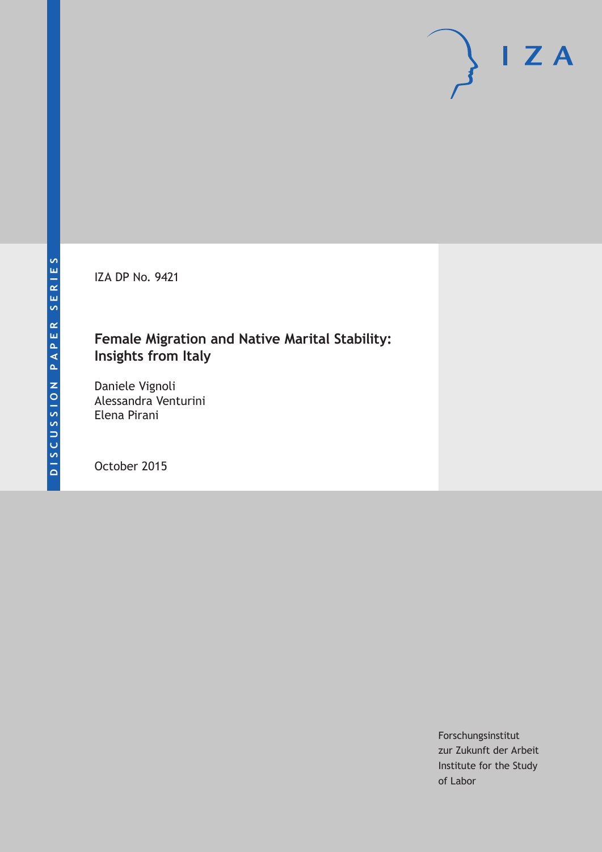IZA DP No. 9421

# **Female Migration and Native Marital Stability: Insights from Italy**

Daniele Vignoli Alessandra Venturini Elena Pirani

October 2015

Forschungsinstitut zur Zukunft der Arbeit Institute for the Study of Labor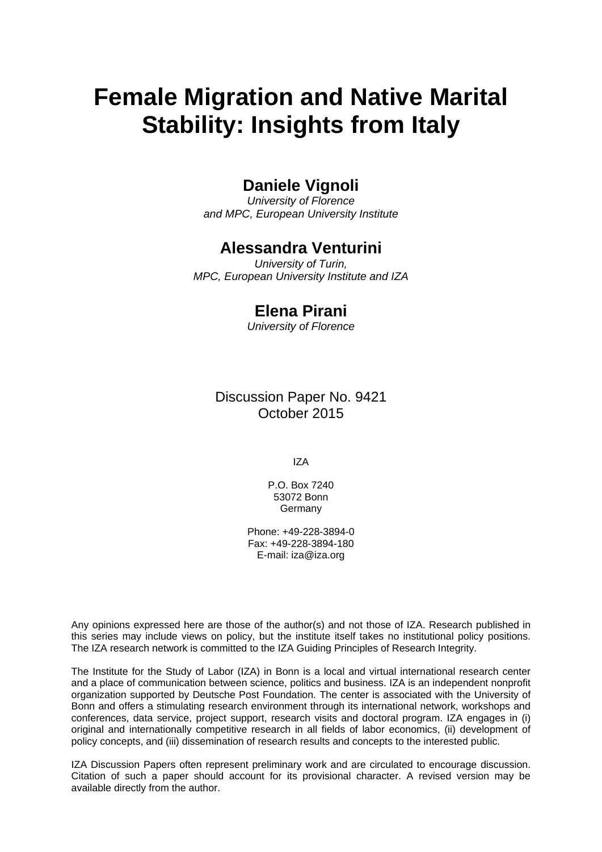# **Female Migration and Native Marital Stability: Insights from Italy**

# **Daniele Vignoli**

*University of Florence and MPC, European University Institute* 

### **Alessandra Venturini**

*University of Turin, MPC, European University Institute and IZA* 

## **Elena Pirani**

*University of Florence*

Discussion Paper No. 9421 October 2015

IZA

P.O. Box 7240 53072 Bonn **Germany** 

Phone: +49-228-3894-0 Fax: +49-228-3894-180 E-mail: iza@iza.org

Any opinions expressed here are those of the author(s) and not those of IZA. Research published in this series may include views on policy, but the institute itself takes no institutional policy positions. The IZA research network is committed to the IZA Guiding Principles of Research Integrity.

The Institute for the Study of Labor (IZA) in Bonn is a local and virtual international research center and a place of communication between science, politics and business. IZA is an independent nonprofit organization supported by Deutsche Post Foundation. The center is associated with the University of Bonn and offers a stimulating research environment through its international network, workshops and conferences, data service, project support, research visits and doctoral program. IZA engages in (i) original and internationally competitive research in all fields of labor economics, (ii) development of policy concepts, and (iii) dissemination of research results and concepts to the interested public.

IZA Discussion Papers often represent preliminary work and are circulated to encourage discussion. Citation of such a paper should account for its provisional character. A revised version may be available directly from the author.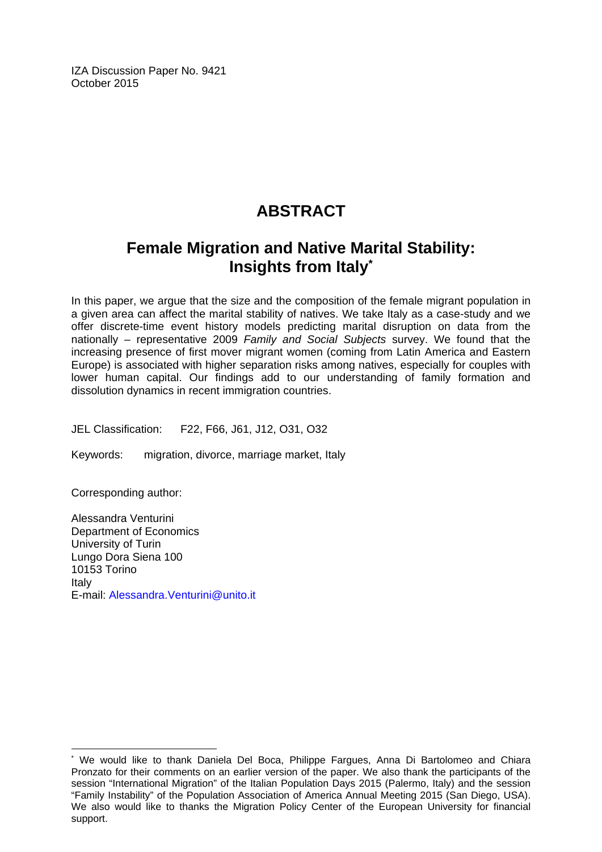IZA Discussion Paper No. 9421 October 2015

# **ABSTRACT**

# **Female Migration and Native Marital Stability: Insights from Italy\***

In this paper, we argue that the size and the composition of the female migrant population in a given area can affect the marital stability of natives. We take Italy as a case-study and we offer discrete-time event history models predicting marital disruption on data from the nationally – representative 2009 *Family and Social Subjects* survey. We found that the increasing presence of first mover migrant women (coming from Latin America and Eastern Europe) is associated with higher separation risks among natives, especially for couples with lower human capital. Our findings add to our understanding of family formation and dissolution dynamics in recent immigration countries.

JEL Classification: F22, F66, J61, J12, O31, O32

Keywords: migration, divorce, marriage market, Italy

Corresponding author:

 $\overline{\phantom{a}}$ 

Alessandra Venturini Department of Economics University of Turin Lungo Dora Siena 100 10153 Torino Italy E-mail: Alessandra.Venturini@unito.it

<sup>\*</sup> We would like to thank Daniela Del Boca, Philippe Fargues, Anna Di Bartolomeo and Chiara Pronzato for their comments on an earlier version of the paper. We also thank the participants of the session "International Migration" of the Italian Population Days 2015 (Palermo, Italy) and the session "Family Instability" of the Population Association of America Annual Meeting 2015 (San Diego, USA). We also would like to thanks the Migration Policy Center of the European University for financial support.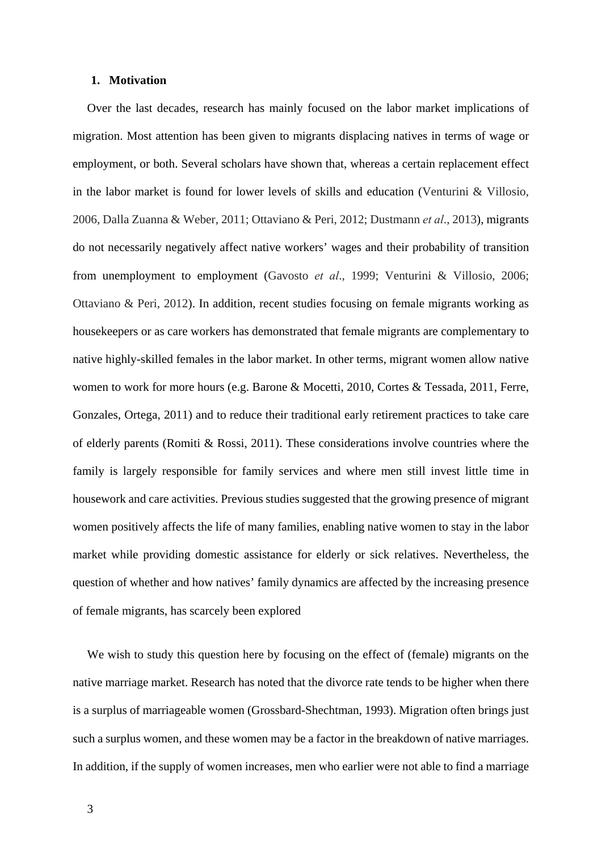#### **1. Motivation**

Over the last decades, research has mainly focused on the labor market implications of migration. Most attention has been given to migrants displacing natives in terms of wage or employment, or both. Several scholars have shown that, whereas a certain replacement effect in the labor market is found for lower levels of skills and education (Venturini & Villosio, 2006, Dalla Zuanna & Weber, 2011; Ottaviano & Peri, 2012; Dustmann *et al*., 2013), migrants do not necessarily negatively affect native workers' wages and their probability of transition from unemployment to employment (Gavosto *et al*., 1999; Venturini & Villosio, 2006; Ottaviano & Peri, 2012). In addition, recent studies focusing on female migrants working as housekeepers or as care workers has demonstrated that female migrants are complementary to native highly-skilled females in the labor market. In other terms, migrant women allow native women to work for more hours (e.g. Barone & Mocetti, 2010, Cortes & Tessada, 2011, Ferre, Gonzales, Ortega, 2011) and to reduce their traditional early retirement practices to take care of elderly parents (Romiti & Rossi, 2011). These considerations involve countries where the family is largely responsible for family services and where men still invest little time in housework and care activities. Previous studies suggested that the growing presence of migrant women positively affects the life of many families, enabling native women to stay in the labor market while providing domestic assistance for elderly or sick relatives. Nevertheless, the question of whether and how natives' family dynamics are affected by the increasing presence of female migrants, has scarcely been explored

We wish to study this question here by focusing on the effect of (female) migrants on the native marriage market. Research has noted that the divorce rate tends to be higher when there is a surplus of marriageable women (Grossbard-Shechtman, 1993). Migration often brings just such a surplus women, and these women may be a factor in the breakdown of native marriages. In addition, if the supply of women increases, men who earlier were not able to find a marriage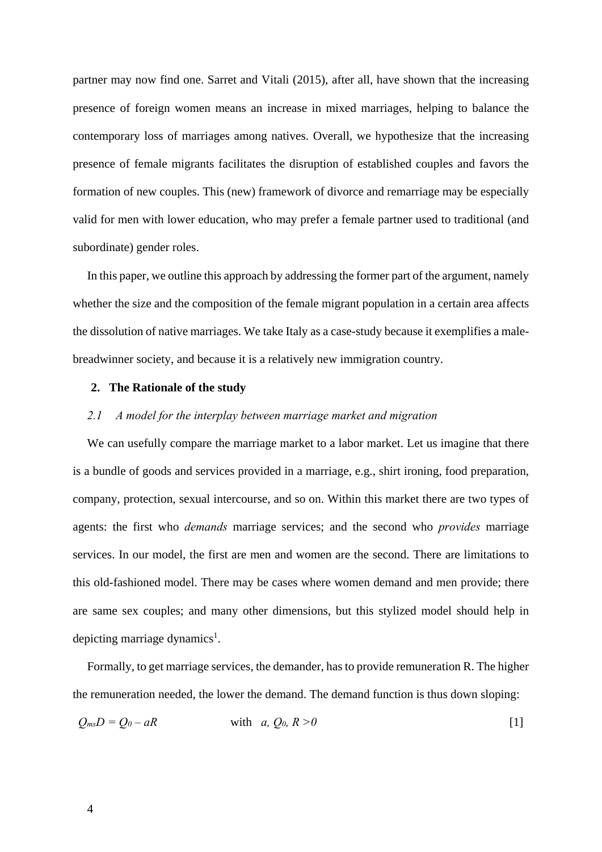partner may now find one. Sarret and Vitali (2015), after all, have shown that the increasing presence of foreign women means an increase in mixed marriages, helping to balance the contemporary loss of marriages among natives. Overall, we hypothesize that the increasing presence of female migrants facilitates the disruption of established couples and favors the formation of new couples. This (new) framework of divorce and remarriage may be especially valid for men with lower education, who may prefer a female partner used to traditional (and subordinate) gender roles.

In this paper, we outline this approach by addressing the former part of the argument, namely whether the size and the composition of the female migrant population in a certain area affects the dissolution of native marriages. We take Italy as a case-study because it exemplifies a malebreadwinner society, and because it is a relatively new immigration country.

#### **2. The Rationale of the study**

#### *2.1 A model for the interplay between marriage market and migration*

We can usefully compare the marriage market to a labor market. Let us imagine that there is a bundle of goods and services provided in a marriage, e.g., shirt ironing, food preparation, company, protection, sexual intercourse, and so on. Within this market there are two types of agents: the first who *demands* marriage services; and the second who *provides* marriage services. In our model, the first are men and women are the second. There are limitations to this old-fashioned model. There may be cases where women demand and men provide; there are same sex couples; and many other dimensions, but this stylized model should help in depicting marriage dynamics<sup>1</sup>.

Formally, to get marriage services, the demander, has to provide remuneration R. The higher the remuneration needed, the lower the demand. The demand function is thus down sloping:

$$
Q_{ms}D = Q_0 - aR \qquad \text{with} \quad a, Q_0, R > 0 \tag{1}
$$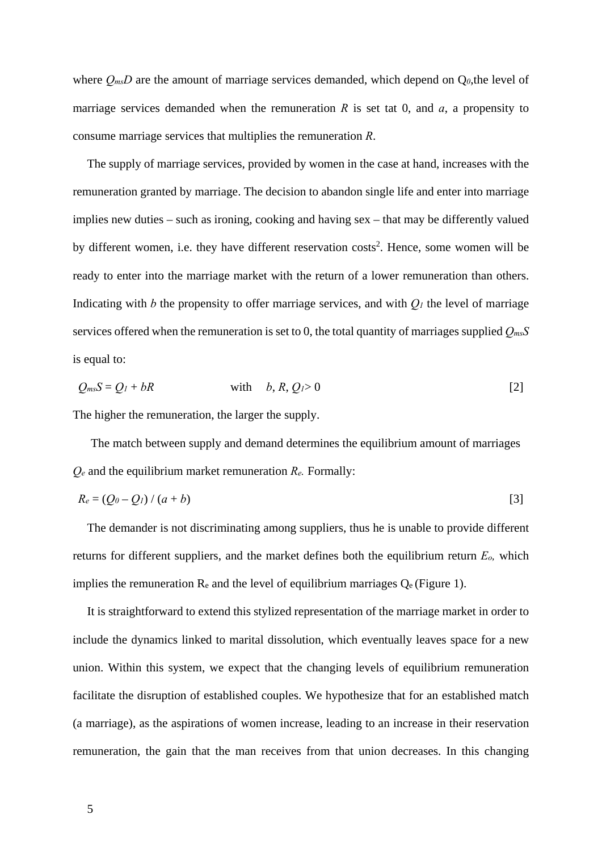where  $Q_{ms}D$  are the amount of marriage services demanded, which depend on  $Q_{0}$ , the level of marriage services demanded when the remuneration  $R$  is set tat 0, and  $a$ , a propensity to consume marriage services that multiplies the remuneration *R*.

The supply of marriage services, provided by women in the case at hand, increases with the remuneration granted by marriage. The decision to abandon single life and enter into marriage implies new duties – such as ironing, cooking and having sex – that may be differently valued by different women, i.e. they have different reservation  $costs<sup>2</sup>$ . Hence, some women will be ready to enter into the marriage market with the return of a lower remuneration than others. Indicating with *b* the propensity to offer marriage services, and with  $Q_l$  the level of marriage services offered when the remuneration is set to 0, the total quantity of marriages supplied *QmsS* is equal to:

$$
Q_{ms}S = Q_l + bR \qquad \text{with} \qquad b, R, Q_l > 0 \tag{2}
$$

The higher the remuneration, the larger the supply.

The match between supply and demand determines the equilibrium amount of marriages *Qe* and the equilibrium market remuneration *Re.* Formally:

$$
R_e = (Q_0 - Q_1) / (a + b) \tag{3}
$$

The demander is not discriminating among suppliers, thus he is unable to provide different returns for different suppliers, and the market defines both the equilibrium return *Eo,* which implies the remuneration  $R_e$  and the level of equilibrium marriages  $Q_e$  (Figure 1).

It is straightforward to extend this stylized representation of the marriage market in order to include the dynamics linked to marital dissolution, which eventually leaves space for a new union. Within this system, we expect that the changing levels of equilibrium remuneration facilitate the disruption of established couples. We hypothesize that for an established match (a marriage), as the aspirations of women increase, leading to an increase in their reservation remuneration, the gain that the man receives from that union decreases. In this changing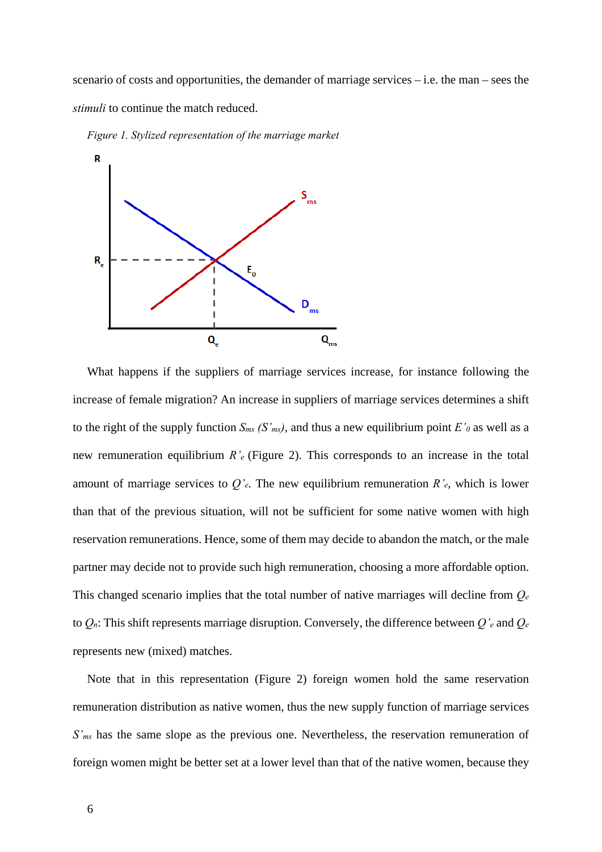scenario of costs and opportunities, the demander of marriage services – i.e. the man – sees the *stimuli* to continue the match reduced.



*Figure 1. Stylized representation of the marriage market* 

What happens if the suppliers of marriage services increase, for instance following the increase of female migration? An increase in suppliers of marriage services determines a shift to the right of the supply function  $S_{ms}$  (S'<sub>ms</sub>), and thus a new equilibrium point  $E'_{\theta}$  as well as a new remuneration equilibrium *R'e* (Figure 2). This corresponds to an increase in the total amount of marriage services to *Q'e*. The new equilibrium remuneration *R'e*, which is lower than that of the previous situation, will not be sufficient for some native women with high reservation remunerations. Hence, some of them may decide to abandon the match, or the male partner may decide not to provide such high remuneration, choosing a more affordable option. This changed scenario implies that the total number of native marriages will decline from *Qe* to *Qn*: This shift represents marriage disruption. Conversely, the difference between *Q'e* and *Qe* represents new (mixed) matches.

Note that in this representation (Figure 2) foreign women hold the same reservation remuneration distribution as native women, thus the new supply function of marriage services *S'ms* has the same slope as the previous one. Nevertheless, the reservation remuneration of foreign women might be better set at a lower level than that of the native women, because they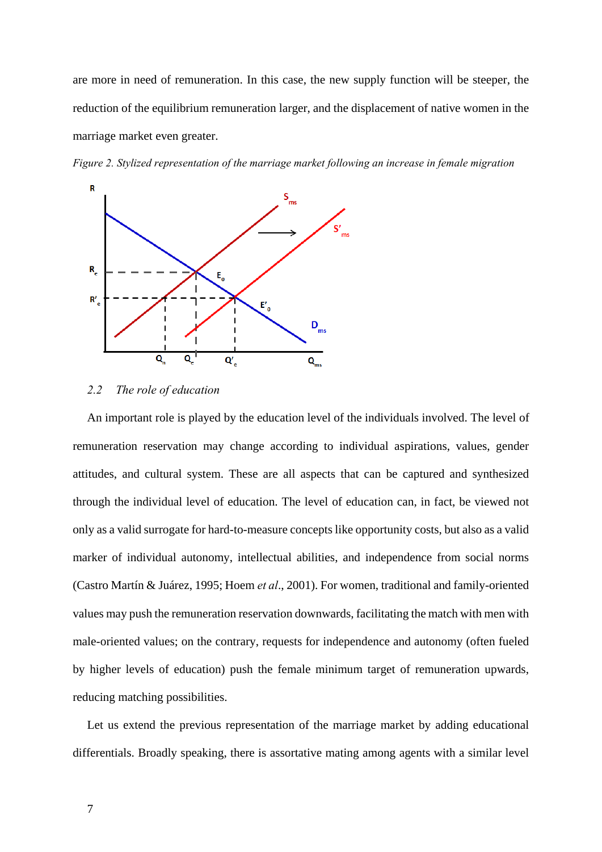are more in need of remuneration. In this case, the new supply function will be steeper, the reduction of the equilibrium remuneration larger, and the displacement of native women in the marriage market even greater.





#### *2.2 The role of education*

An important role is played by the education level of the individuals involved. The level of remuneration reservation may change according to individual aspirations, values, gender attitudes, and cultural system. These are all aspects that can be captured and synthesized through the individual level of education. The level of education can, in fact, be viewed not only as a valid surrogate for hard-to-measure concepts like opportunity costs, but also as a valid marker of individual autonomy, intellectual abilities, and independence from social norms (Castro Martín & Juárez, 1995; Hoem *et al*., 2001). For women, traditional and family-oriented values may push the remuneration reservation downwards, facilitating the match with men with male-oriented values; on the contrary, requests for independence and autonomy (often fueled by higher levels of education) push the female minimum target of remuneration upwards, reducing matching possibilities.

Let us extend the previous representation of the marriage market by adding educational differentials. Broadly speaking, there is assortative mating among agents with a similar level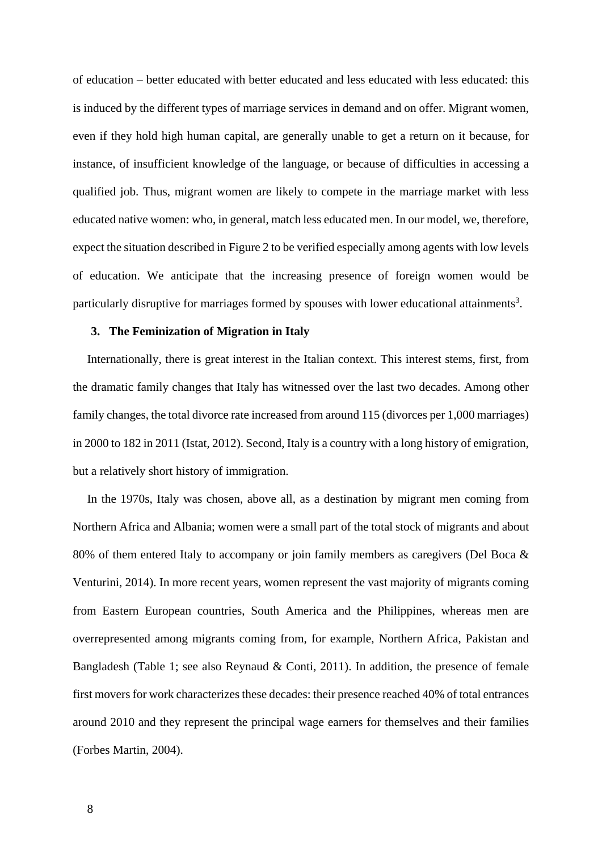of education – better educated with better educated and less educated with less educated: this is induced by the different types of marriage services in demand and on offer. Migrant women, even if they hold high human capital, are generally unable to get a return on it because, for instance, of insufficient knowledge of the language, or because of difficulties in accessing a qualified job. Thus, migrant women are likely to compete in the marriage market with less educated native women: who, in general, match less educated men. In our model, we, therefore, expect the situation described in Figure 2 to be verified especially among agents with low levels of education. We anticipate that the increasing presence of foreign women would be particularly disruptive for marriages formed by spouses with lower educational attainments<sup>3</sup>.

#### **3. The Feminization of Migration in Italy**

Internationally, there is great interest in the Italian context. This interest stems, first, from the dramatic family changes that Italy has witnessed over the last two decades. Among other family changes, the total divorce rate increased from around 115 (divorces per 1,000 marriages) in 2000 to 182 in 2011 (Istat, 2012). Second, Italy is a country with a long history of emigration, but a relatively short history of immigration.

In the 1970s, Italy was chosen, above all, as a destination by migrant men coming from Northern Africa and Albania; women were a small part of the total stock of migrants and about 80% of them entered Italy to accompany or join family members as caregivers (Del Boca & Venturini, 2014). In more recent years, women represent the vast majority of migrants coming from Eastern European countries, South America and the Philippines, whereas men are overrepresented among migrants coming from, for example, Northern Africa, Pakistan and Bangladesh (Table 1; see also Reynaud & Conti, 2011). In addition, the presence of female first movers for work characterizes these decades: their presence reached 40% of total entrances around 2010 and they represent the principal wage earners for themselves and their families (Forbes Martin, 2004).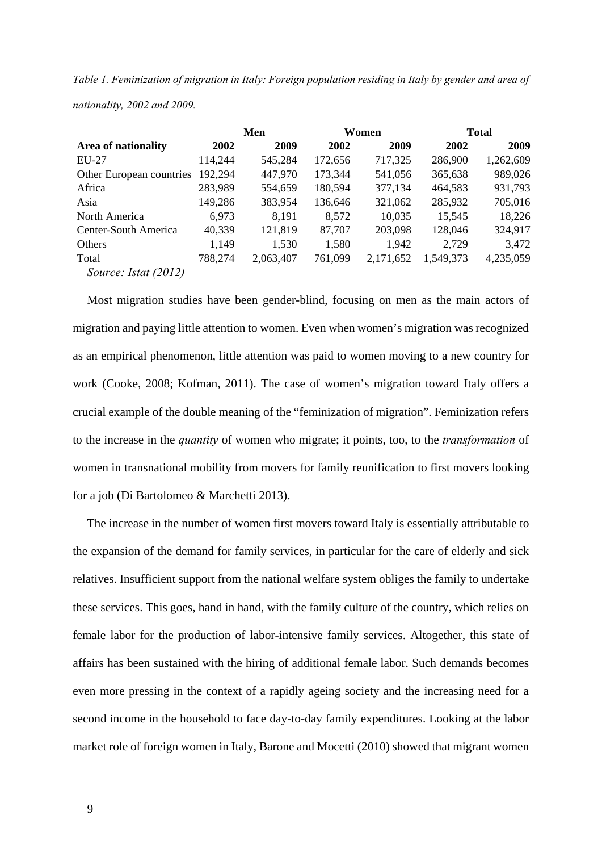*Table 1. Feminization of migration in Italy: Foreign population residing in Italy by gender and area of nationality, 2002 and 2009.* 

|                                                      |         | Men       |         | Women     | <b>Total</b> |           |  |
|------------------------------------------------------|---------|-----------|---------|-----------|--------------|-----------|--|
| Area of nationality                                  | 2002    | 2009      | 2002    | 2009      | 2002         | 2009      |  |
| EU-27                                                | 114,244 | 545,284   | 172,656 | 717,325   | 286,900      | 1,262,609 |  |
| Other European countries                             | 192,294 | 447,970   | 173,344 | 541,056   | 365,638      | 989,026   |  |
| Africa                                               | 283,989 | 554,659   | 180,594 | 377,134   | 464,583      | 931,793   |  |
| Asia                                                 | 149,286 | 383,954   | 136,646 | 321,062   | 285,932      | 705,016   |  |
| North America                                        | 6,973   | 8,191     | 8,572   | 10,035    | 15,545       | 18,226    |  |
| Center-South America                                 | 40,339  | 121,819   | 87,707  | 203,098   | 128,046      | 324,917   |  |
| Others                                               | 1,149   | 1,530     | 1,580   | 1,942     | 2,729        | 3,472     |  |
| Total                                                | 788,274 | 2,063,407 | 761,099 | 2,171,652 | 1,549,373    | 4,235,059 |  |
| $\mathbf{r} = \mathbf{r} \cdot \mathbf{r}$<br>$\sim$ |         |           |         |           |              |           |  |

*Source: Istat (2012)* 

Most migration studies have been gender-blind, focusing on men as the main actors of migration and paying little attention to women. Even when women's migration was recognized as an empirical phenomenon, little attention was paid to women moving to a new country for work (Cooke, 2008; Kofman, 2011). The case of women's migration toward Italy offers a crucial example of the double meaning of the "feminization of migration". Feminization refers to the increase in the *quantity* of women who migrate; it points, too, to the *transformation* of women in transnational mobility from movers for family reunification to first movers looking for a job (Di Bartolomeo & Marchetti 2013).

The increase in the number of women first movers toward Italy is essentially attributable to the expansion of the demand for family services, in particular for the care of elderly and sick relatives. Insufficient support from the national welfare system obliges the family to undertake these services. This goes, hand in hand, with the family culture of the country, which relies on female labor for the production of labor-intensive family services. Altogether, this state of affairs has been sustained with the hiring of additional female labor. Such demands becomes even more pressing in the context of a rapidly ageing society and the increasing need for a second income in the household to face day-to-day family expenditures. Looking at the labor market role of foreign women in Italy, Barone and Mocetti (2010) showed that migrant women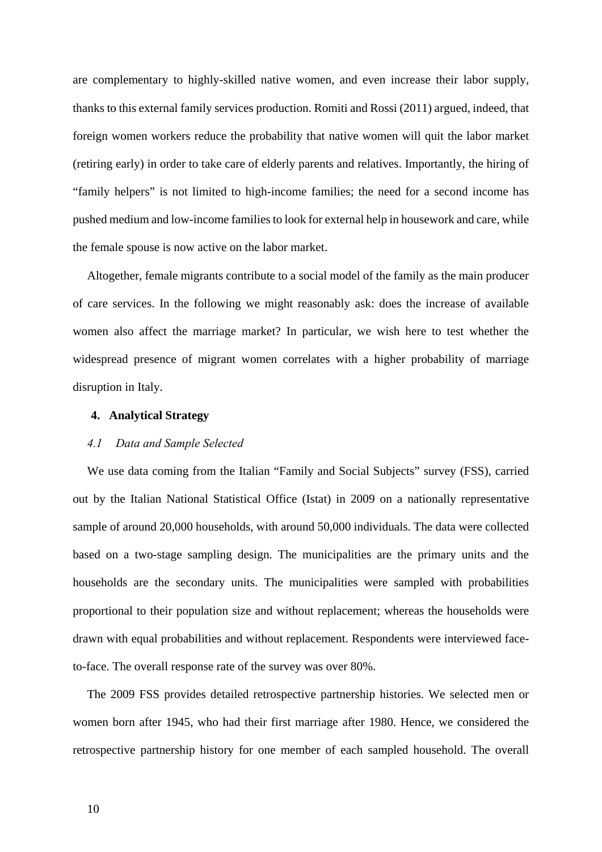are complementary to highly-skilled native women, and even increase their labor supply, thanks to this external family services production. Romiti and Rossi (2011) argued, indeed, that foreign women workers reduce the probability that native women will quit the labor market (retiring early) in order to take care of elderly parents and relatives. Importantly, the hiring of "family helpers" is not limited to high-income families; the need for a second income has pushed medium and low-income families to look for external help in housework and care, while the female spouse is now active on the labor market.

Altogether, female migrants contribute to a social model of the family as the main producer of care services. In the following we might reasonably ask: does the increase of available women also affect the marriage market? In particular, we wish here to test whether the widespread presence of migrant women correlates with a higher probability of marriage disruption in Italy.

#### **4. Analytical Strategy**

#### *4.1 Data and Sample Selected*

We use data coming from the Italian "Family and Social Subjects" survey (FSS), carried out by the Italian National Statistical Office (Istat) in 2009 on a nationally representative sample of around 20,000 households, with around 50,000 individuals. The data were collected based on a two-stage sampling design. The municipalities are the primary units and the households are the secondary units. The municipalities were sampled with probabilities proportional to their population size and without replacement; whereas the households were drawn with equal probabilities and without replacement. Respondents were interviewed faceto-face. The overall response rate of the survey was over 80%.

The 2009 FSS provides detailed retrospective partnership histories. We selected men or women born after 1945, who had their first marriage after 1980. Hence, we considered the retrospective partnership history for one member of each sampled household. The overall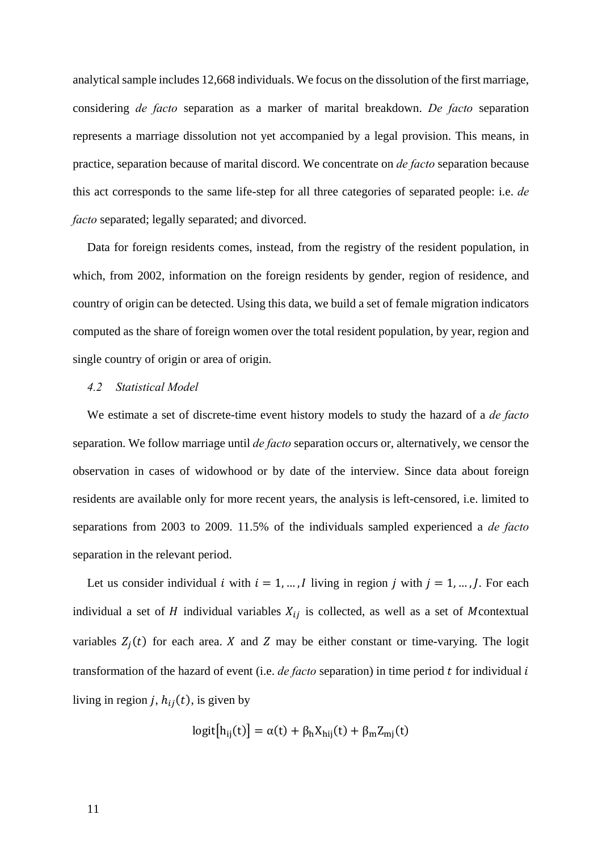analytical sample includes 12,668 individuals. We focus on the dissolution of the first marriage, considering *de facto* separation as a marker of marital breakdown. *De facto* separation represents a marriage dissolution not yet accompanied by a legal provision. This means, in practice, separation because of marital discord. We concentrate on *de facto* separation because this act corresponds to the same life-step for all three categories of separated people: i.e. *de facto* separated; legally separated; and divorced.

Data for foreign residents comes, instead, from the registry of the resident population, in which, from 2002, information on the foreign residents by gender, region of residence, and country of origin can be detected. Using this data, we build a set of female migration indicators computed as the share of foreign women over the total resident population, by year, region and single country of origin or area of origin.

#### *4.2 Statistical Model*

We estimate a set of discrete-time event history models to study the hazard of a *de facto* separation. We follow marriage until *de facto* separation occurs or, alternatively, we censor the observation in cases of widowhood or by date of the interview. Since data about foreign residents are available only for more recent years, the analysis is left-censored, i.e. limited to separations from 2003 to 2009. 11.5% of the individuals sampled experienced a *de facto* separation in the relevant period.

Let us consider individual *i* with  $i = 1, ..., I$  living in region *j* with  $j = 1, ..., J$ . For each individual a set of  $H$  individual variables  $X_{ij}$  is collected, as well as a set of Mcontextual variables  $Z_j(t)$  for each area. X and Z may be either constant or time-varying. The logit transformation of the hazard of event (i.e. *de facto* separation) in time period  $t$  for individual  $i$ living in region *j*,  $h_{ij}(t)$ , is given by

$$
logit[h_{ij}(t)] = \alpha(t) + \beta_h X_{hij}(t) + \beta_m Z_{mj}(t)
$$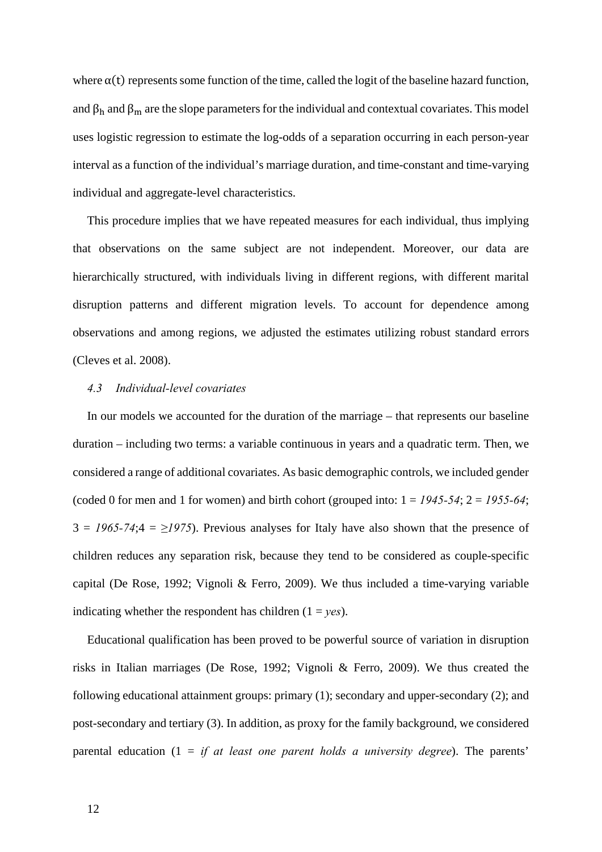where  $\alpha(t)$  represents some function of the time, called the logit of the baseline hazard function, and  $\beta_h$  and  $\beta_m$  are the slope parameters for the individual and contextual covariates. This model uses logistic regression to estimate the log-odds of a separation occurring in each person-year interval as a function of the individual's marriage duration, and time-constant and time-varying individual and aggregate-level characteristics.

This procedure implies that we have repeated measures for each individual, thus implying that observations on the same subject are not independent. Moreover, our data are hierarchically structured, with individuals living in different regions, with different marital disruption patterns and different migration levels. To account for dependence among observations and among regions, we adjusted the estimates utilizing robust standard errors (Cleves et al. 2008).

#### *4.3 Individual-level covariates*

In our models we accounted for the duration of the marriage – that represents our baseline duration – including two terms: a variable continuous in years and a quadratic term. Then, we considered a range of additional covariates. As basic demographic controls, we included gender (coded 0 for men and 1 for women) and birth cohort (grouped into:  $1 = 1945-54$ ;  $2 = 1955-64$ ;  $3 = 1965-74; 4 = \ge 1975$ . Previous analyses for Italy have also shown that the presence of children reduces any separation risk, because they tend to be considered as couple-specific capital (De Rose, 1992; Vignoli & Ferro, 2009). We thus included a time-varying variable indicating whether the respondent has children  $(1 = yes)$ .

Educational qualification has been proved to be powerful source of variation in disruption risks in Italian marriages (De Rose, 1992; Vignoli & Ferro, 2009). We thus created the following educational attainment groups: primary (1); secondary and upper-secondary (2); and post-secondary and tertiary (3). In addition, as proxy for the family background, we considered parental education (1 = *if at least one parent holds a university degree*). The parents'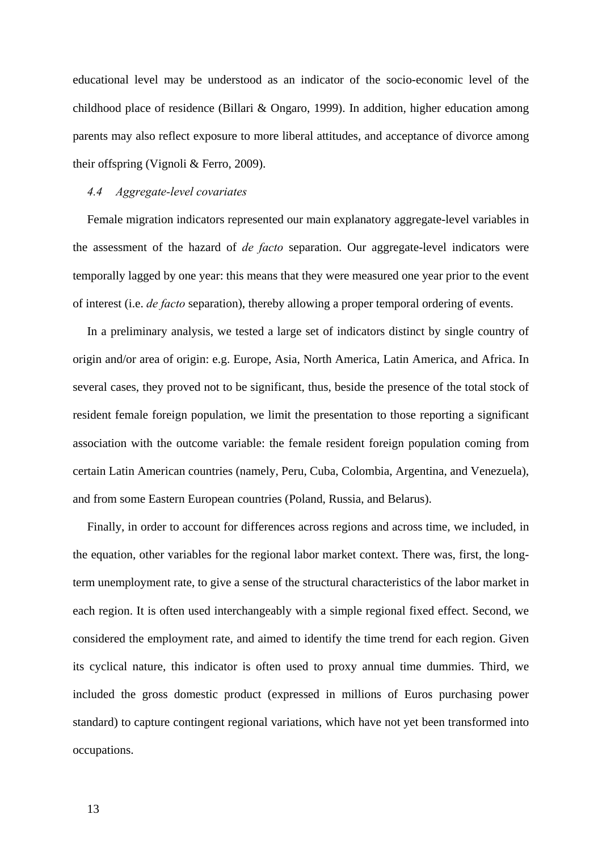educational level may be understood as an indicator of the socio-economic level of the childhood place of residence (Billari & Ongaro, 1999). In addition, higher education among parents may also reflect exposure to more liberal attitudes, and acceptance of divorce among their offspring (Vignoli & Ferro, 2009).

#### *4.4 Aggregate-level covariates*

Female migration indicators represented our main explanatory aggregate-level variables in the assessment of the hazard of *de facto* separation. Our aggregate-level indicators were temporally lagged by one year: this means that they were measured one year prior to the event of interest (i.e. *de facto* separation), thereby allowing a proper temporal ordering of events.

In a preliminary analysis, we tested a large set of indicators distinct by single country of origin and/or area of origin: e.g. Europe, Asia, North America, Latin America, and Africa. In several cases, they proved not to be significant, thus, beside the presence of the total stock of resident female foreign population, we limit the presentation to those reporting a significant association with the outcome variable: the female resident foreign population coming from certain Latin American countries (namely, Peru, Cuba, Colombia, Argentina, and Venezuela), and from some Eastern European countries (Poland, Russia, and Belarus).

Finally, in order to account for differences across regions and across time, we included, in the equation, other variables for the regional labor market context. There was, first, the longterm unemployment rate, to give a sense of the structural characteristics of the labor market in each region. It is often used interchangeably with a simple regional fixed effect. Second, we considered the employment rate, and aimed to identify the time trend for each region. Given its cyclical nature, this indicator is often used to proxy annual time dummies. Third, we included the gross domestic product (expressed in millions of Euros purchasing power standard) to capture contingent regional variations, which have not yet been transformed into occupations.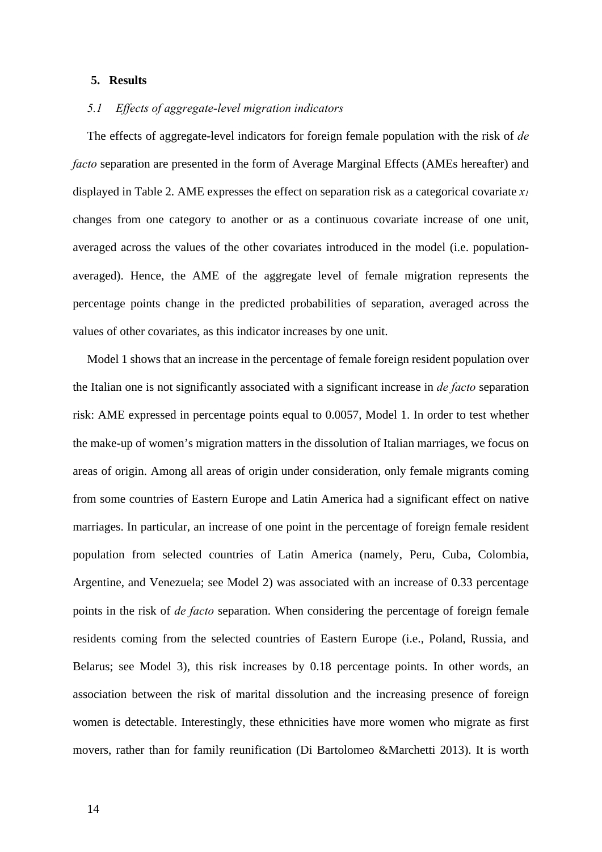#### **5. Results**

#### *5.1 Effects of aggregate-level migration indicators*

The effects of aggregate-level indicators for foreign female population with the risk of *de facto* separation are presented in the form of Average Marginal Effects (AMEs hereafter) and displayed in Table 2. AME expresses the effect on separation risk as a categorical covariate *x1* changes from one category to another or as a continuous covariate increase of one unit, averaged across the values of the other covariates introduced in the model (i.e. populationaveraged). Hence, the AME of the aggregate level of female migration represents the percentage points change in the predicted probabilities of separation, averaged across the values of other covariates, as this indicator increases by one unit.

Model 1 shows that an increase in the percentage of female foreign resident population over the Italian one is not significantly associated with a significant increase in *de facto* separation risk: AME expressed in percentage points equal to 0.0057, Model 1. In order to test whether the make-up of women's migration matters in the dissolution of Italian marriages, we focus on areas of origin. Among all areas of origin under consideration, only female migrants coming from some countries of Eastern Europe and Latin America had a significant effect on native marriages. In particular, an increase of one point in the percentage of foreign female resident population from selected countries of Latin America (namely, Peru, Cuba, Colombia, Argentine, and Venezuela; see Model 2) was associated with an increase of 0.33 percentage points in the risk of *de facto* separation. When considering the percentage of foreign female residents coming from the selected countries of Eastern Europe (i.e., Poland, Russia, and Belarus; see Model 3), this risk increases by 0.18 percentage points. In other words, an association between the risk of marital dissolution and the increasing presence of foreign women is detectable. Interestingly, these ethnicities have more women who migrate as first movers, rather than for family reunification (Di Bartolomeo &Marchetti 2013). It is worth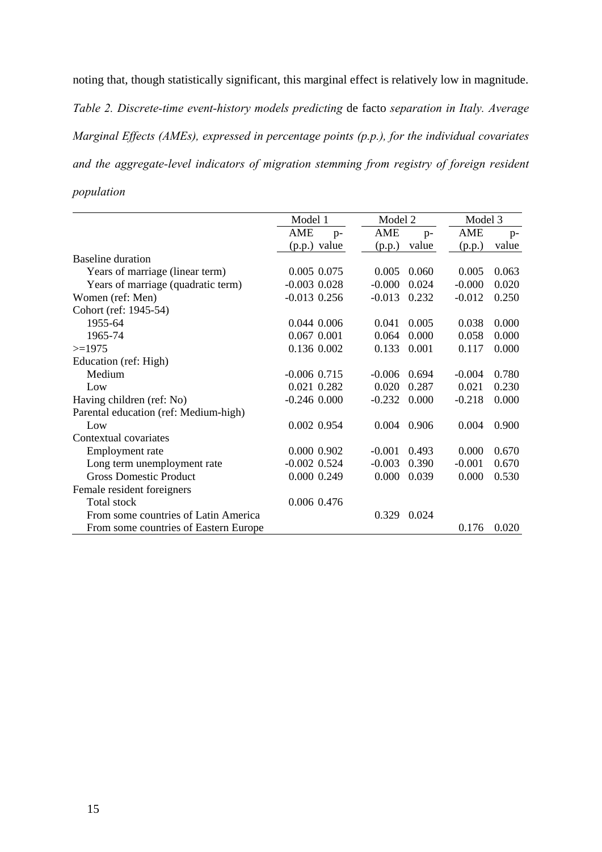noting that, though statistically significant, this marginal effect is relatively low in magnitude. *Table 2. Discrete-time event-history models predicting* de facto *separation in Italy. Average Marginal Effects (AMEs), expressed in percentage points (p.p.), for the individual covariates and the aggregate-level indicators of migration stemming from registry of foreign resident population* 

|                                       | Model 1          | Model 2     |       | Model 3  |       |
|---------------------------------------|------------------|-------------|-------|----------|-------|
|                                       | AME<br>$p-$      | AME         | $p-$  | AME      | $p-$  |
|                                       | (p.p.) value     | (p.p.)      | value | (p.p.)   | value |
| Baseline duration                     |                  |             |       |          |       |
| Years of marriage (linear term)       | 0.005 0.075      | 0.005       | 0.060 | 0.005    | 0.063 |
| Years of marriage (quadratic term)    | $-0.003$ $0.028$ | $-0.000$    | 0.024 | $-0.000$ | 0.020 |
| Women (ref: Men)                      | $-0.013$ 0.256   | $-0.013$    | 0.232 | $-0.012$ | 0.250 |
| Cohort (ref: 1945-54)                 |                  |             |       |          |       |
| 1955-64                               | 0.044 0.006      | 0.041       | 0.005 | 0.038    | 0.000 |
| 1965-74                               | 0.067 0.001      | 0.064       | 0.000 | 0.058    | 0.000 |
| $>=1975$                              | 0.136 0.002      | 0.133       | 0.001 | 0.117    | 0.000 |
| Education (ref: High)                 |                  |             |       |          |       |
| Medium                                | $-0.006$ $0.715$ | $-0.006$    | 0.694 | $-0.004$ | 0.780 |
| Low                                   | 0.021 0.282      | 0.020       | 0.287 | 0.021    | 0.230 |
| Having children (ref: No)             | $-0.246$ $0.000$ | $-0.232$    | 0.000 | $-0.218$ | 0.000 |
| Parental education (ref: Medium-high) |                  |             |       |          |       |
| Low                                   | 0.002 0.954      | 0.004 0.906 |       | 0.004    | 0.900 |
| Contextual covariates                 |                  |             |       |          |       |
| Employment rate                       | 0.000 0.902      | $-0.001$    | 0.493 | 0.000    | 0.670 |
| Long term unemployment rate           | $-0.002$ $0.524$ | $-0.003$    | 0.390 | $-0.001$ | 0.670 |
| <b>Gross Domestic Product</b>         | 0.000 0.249      | 0.000       | 0.039 | 0.000    | 0.530 |
| Female resident foreigners            |                  |             |       |          |       |
| Total stock                           | 0.006 0.476      |             |       |          |       |
| From some countries of Latin America  |                  | 0.329       | 0.024 |          |       |
| From some countries of Eastern Europe |                  |             |       | 0.176    | 0.020 |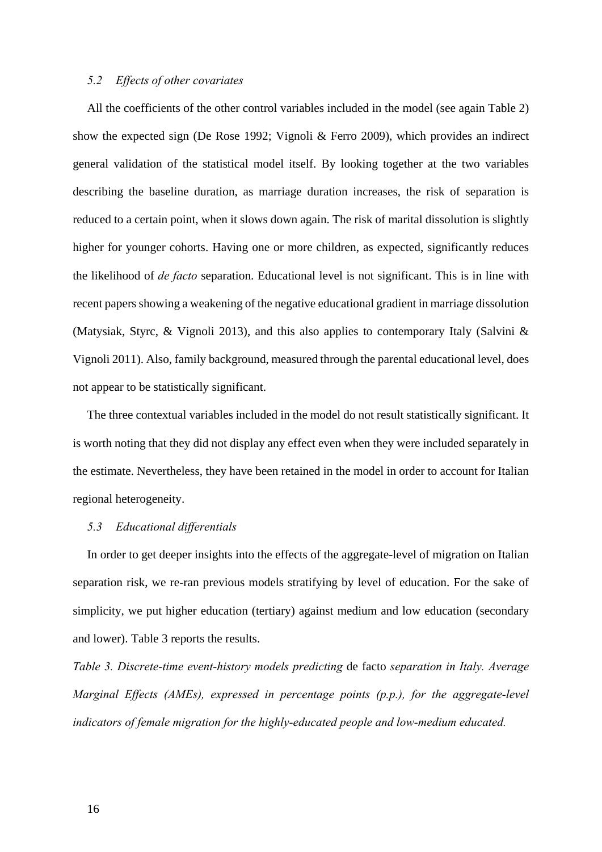#### *5.2 Effects of other covariates*

All the coefficients of the other control variables included in the model (see again Table 2) show the expected sign (De Rose 1992; Vignoli & Ferro 2009), which provides an indirect general validation of the statistical model itself. By looking together at the two variables describing the baseline duration, as marriage duration increases, the risk of separation is reduced to a certain point, when it slows down again. The risk of marital dissolution is slightly higher for younger cohorts. Having one or more children, as expected, significantly reduces the likelihood of *de facto* separation. Educational level is not significant. This is in line with recent papers showing a weakening of the negative educational gradient in marriage dissolution (Matysiak, Styrc, & Vignoli 2013), and this also applies to contemporary Italy (Salvini & Vignoli 2011). Also, family background, measured through the parental educational level, does not appear to be statistically significant.

The three contextual variables included in the model do not result statistically significant. It is worth noting that they did not display any effect even when they were included separately in the estimate. Nevertheless, they have been retained in the model in order to account for Italian regional heterogeneity.

#### *5.3 Educational differentials*

In order to get deeper insights into the effects of the aggregate-level of migration on Italian separation risk, we re-ran previous models stratifying by level of education. For the sake of simplicity, we put higher education (tertiary) against medium and low education (secondary and lower). Table 3 reports the results.

*Table 3. Discrete-time event-history models predicting* de facto *separation in Italy. Average Marginal Effects (AMEs), expressed in percentage points (p.p.), for the aggregate-level indicators of female migration for the highly-educated people and low-medium educated.*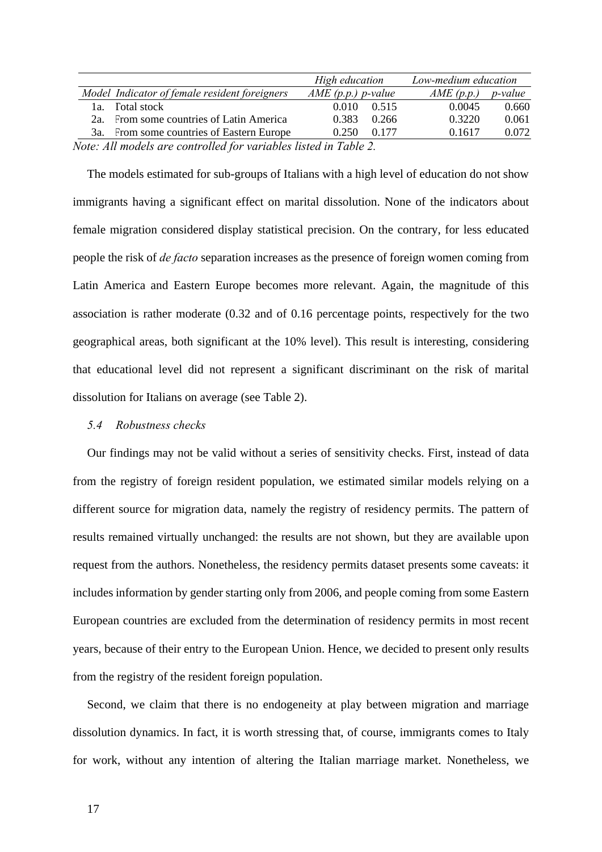|                                                                  | High education      | Low-medium education         |  |  |  |  |  |  |
|------------------------------------------------------------------|---------------------|------------------------------|--|--|--|--|--|--|
| Model Indicator of female resident foreigners                    | $AME(p.p.)$ p-value | AME(p.p.)<br><i>p</i> -value |  |  |  |  |  |  |
| <b>Total stock</b><br>la.                                        | 0.010<br>0.515      | 0.0045<br>0.660              |  |  |  |  |  |  |
| 2a. From some countries of Latin America                         | 0.383<br>0.266      | 0.3220<br>0.061              |  |  |  |  |  |  |
| 3a. From some countries of Eastern Europe                        | 0.177<br>0.250      | 0.1617<br>0.072              |  |  |  |  |  |  |
| Note: All models are controlled for variables listed in Table 2. |                     |                              |  |  |  |  |  |  |

The models estimated for sub-groups of Italians with a high level of education do not show immigrants having a significant effect on marital dissolution. None of the indicators about female migration considered display statistical precision. On the contrary, for less educated people the risk of *de facto* separation increases as the presence of foreign women coming from Latin America and Eastern Europe becomes more relevant. Again, the magnitude of this association is rather moderate (0.32 and of 0.16 percentage points, respectively for the two geographical areas, both significant at the 10% level). This result is interesting, considering that educational level did not represent a significant discriminant on the risk of marital dissolution for Italians on average (see Table 2).

#### *5.4 Robustness checks*

Our findings may not be valid without a series of sensitivity checks. First, instead of data from the registry of foreign resident population, we estimated similar models relying on a different source for migration data, namely the registry of residency permits. The pattern of results remained virtually unchanged: the results are not shown, but they are available upon request from the authors. Nonetheless, the residency permits dataset presents some caveats: it includes information by gender starting only from 2006, and people coming from some Eastern European countries are excluded from the determination of residency permits in most recent years, because of their entry to the European Union. Hence, we decided to present only results from the registry of the resident foreign population.

Second, we claim that there is no endogeneity at play between migration and marriage dissolution dynamics. In fact, it is worth stressing that, of course, immigrants comes to Italy for work, without any intention of altering the Italian marriage market. Nonetheless, we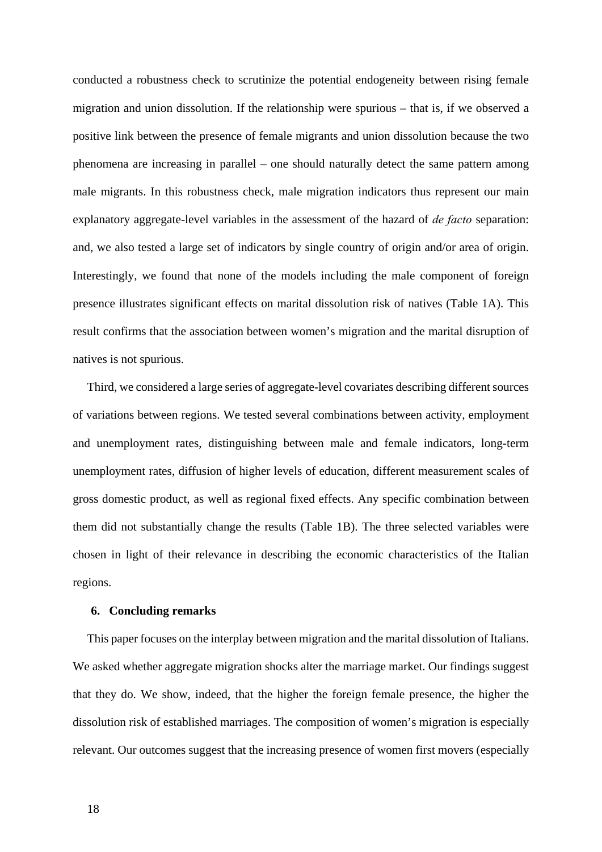conducted a robustness check to scrutinize the potential endogeneity between rising female migration and union dissolution. If the relationship were spurious – that is, if we observed a positive link between the presence of female migrants and union dissolution because the two phenomena are increasing in parallel – one should naturally detect the same pattern among male migrants. In this robustness check, male migration indicators thus represent our main explanatory aggregate-level variables in the assessment of the hazard of *de facto* separation: and, we also tested a large set of indicators by single country of origin and/or area of origin. Interestingly, we found that none of the models including the male component of foreign presence illustrates significant effects on marital dissolution risk of natives (Table 1A). This result confirms that the association between women's migration and the marital disruption of natives is not spurious.

Third, we considered a large series of aggregate-level covariates describing different sources of variations between regions. We tested several combinations between activity, employment and unemployment rates, distinguishing between male and female indicators, long-term unemployment rates, diffusion of higher levels of education, different measurement scales of gross domestic product, as well as regional fixed effects. Any specific combination between them did not substantially change the results (Table 1B). The three selected variables were chosen in light of their relevance in describing the economic characteristics of the Italian regions.

#### **6. Concluding remarks**

This paper focuses on the interplay between migration and the marital dissolution of Italians. We asked whether aggregate migration shocks alter the marriage market. Our findings suggest that they do. We show, indeed, that the higher the foreign female presence, the higher the dissolution risk of established marriages. The composition of women's migration is especially relevant. Our outcomes suggest that the increasing presence of women first movers (especially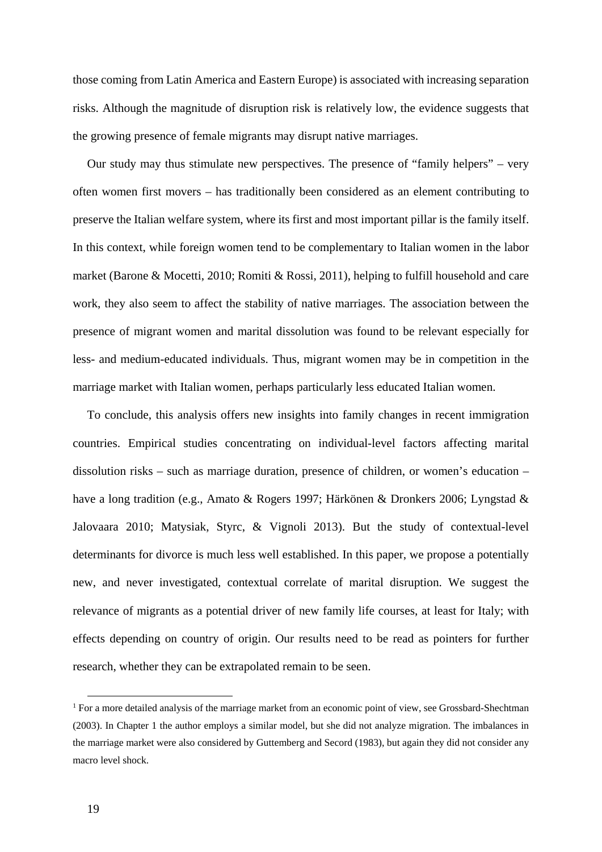those coming from Latin America and Eastern Europe) is associated with increasing separation risks. Although the magnitude of disruption risk is relatively low, the evidence suggests that the growing presence of female migrants may disrupt native marriages.

Our study may thus stimulate new perspectives. The presence of "family helpers" – very often women first movers – has traditionally been considered as an element contributing to preserve the Italian welfare system, where its first and most important pillar is the family itself. In this context, while foreign women tend to be complementary to Italian women in the labor market (Barone & Mocetti, 2010; Romiti & Rossi, 2011), helping to fulfill household and care work, they also seem to affect the stability of native marriages. The association between the presence of migrant women and marital dissolution was found to be relevant especially for less- and medium-educated individuals. Thus, migrant women may be in competition in the marriage market with Italian women, perhaps particularly less educated Italian women.

To conclude, this analysis offers new insights into family changes in recent immigration countries. Empirical studies concentrating on individual-level factors affecting marital dissolution risks – such as marriage duration, presence of children, or women's education – have a long tradition (e.g., Amato & Rogers 1997; Härkönen & Dronkers 2006; Lyngstad & Jalovaara 2010; Matysiak, Styrc, & Vignoli 2013). But the study of contextual-level determinants for divorce is much less well established. In this paper, we propose a potentially new, and never investigated, contextual correlate of marital disruption. We suggest the relevance of migrants as a potential driver of new family life courses, at least for Italy; with effects depending on country of origin. Our results need to be read as pointers for further research, whether they can be extrapolated remain to be seen.

<sup>&</sup>lt;sup>1</sup> For a more detailed analysis of the marriage market from an economic point of view, see Grossbard-Shechtman (2003). In Chapter 1 the author employs a similar model, but she did not analyze migration. The imbalances in the marriage market were also considered by Guttemberg and Secord (1983), but again they did not consider any macro level shock.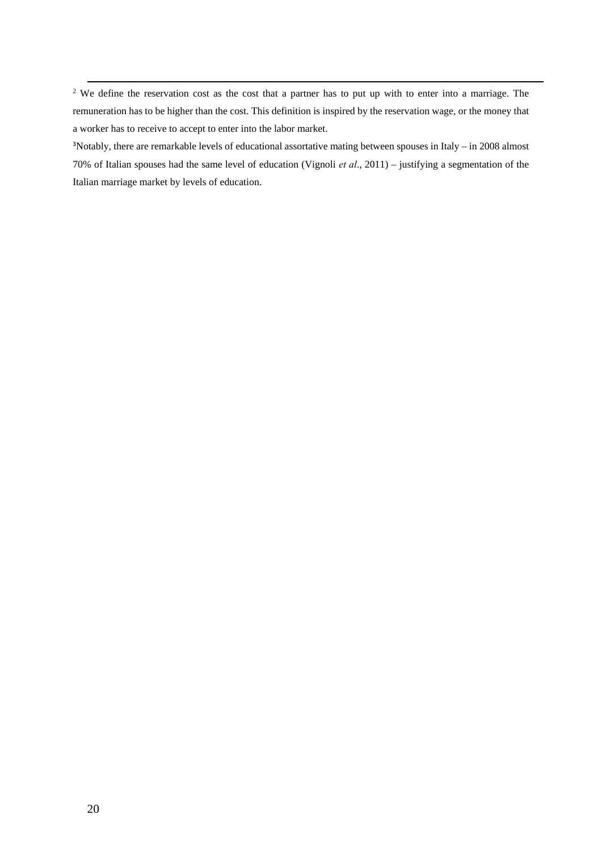<sup>2</sup> We define the reservation cost as the cost that a partner has to put up with to enter into a marriage. The remuneration has to be higher than the cost. This definition is inspired by the reservation wage, or the money that a worker has to receive to accept to enter into the labor market.

<u> 1989 - Andrea Station Andrea Station (1989), actor a component de la component de la component de la componen</u>

3 Notably, there are remarkable levels of educational assortative mating between spouses in Italy – in 2008 almost 70% of Italian spouses had the same level of education (Vignoli *et al*., 2011) – justifying a segmentation of the Italian marriage market by levels of education.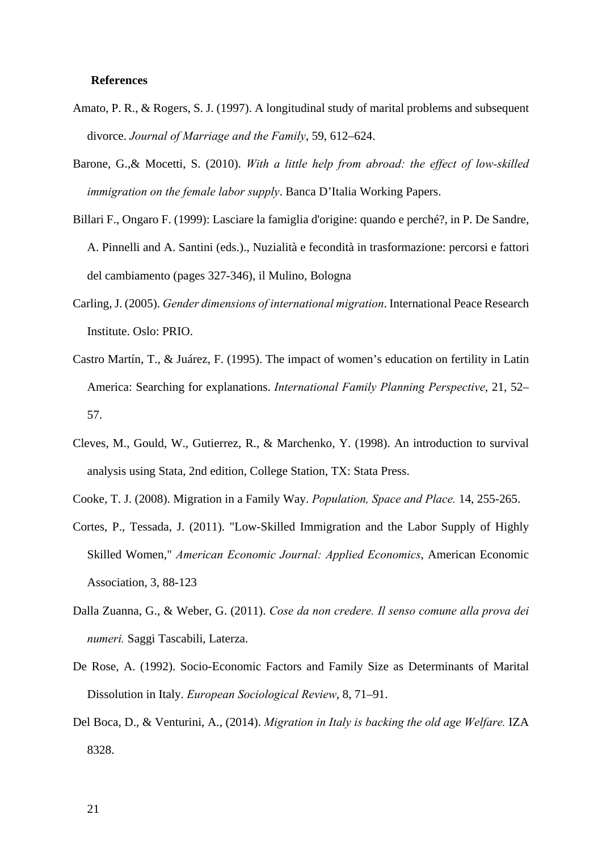#### **References**

- Amato, P. R., & Rogers, S. J. (1997). A longitudinal study of marital problems and subsequent divorce. *Journal of Marriage and the Family*, 59, 612–624.
- Barone, G.,& Mocetti, S. (2010). *With a little help from abroad: the effect of low-skilled immigration on the female labor supply*. Banca D'Italia Working Papers.
- Billari F., Ongaro F. (1999): Lasciare la famiglia d'origine: quando e perché?, in P. De Sandre, A. Pinnelli and A. Santini (eds.)., Nuzialità e fecondità in trasformazione: percorsi e fattori del cambiamento (pages 327-346), il Mulino, Bologna
- Carling, J. (2005). *Gender dimensions of international migration*. International Peace Research Institute. Oslo: PRIO.
- Castro Martín, T., & Juárez, F. (1995). The impact of women's education on fertility in Latin America: Searching for explanations. *International Family Planning Perspective*, 21, 52– 57.
- Cleves, M., Gould, W., Gutierrez, R., & Marchenko, Y. (1998). An introduction to survival analysis using Stata, 2nd edition, College Station, TX: Stata Press.
- Cooke, T. J. (2008). Migration in a Family Way. *Population, Space and Place.* 14, 255-265.
- Cortes, P., Tessada, J. (2011). "Low-Skilled Immigration and the Labor Supply of Highly Skilled Women," *American Economic Journal: Applied Economics*, American Economic Association, 3, 88-123
- Dalla Zuanna, G., & Weber, G. (2011). *Cose da non credere. Il senso comune alla prova dei numeri.* Saggi Tascabili, Laterza.
- De Rose, A. (1992). Socio-Economic Factors and Family Size as Determinants of Marital Dissolution in Italy. *European Sociological Review*, 8, 71–91.
- Del Boca, D., & Venturini, A., (2014). *Migration in Italy is backing the old age Welfare.* IZA 8328.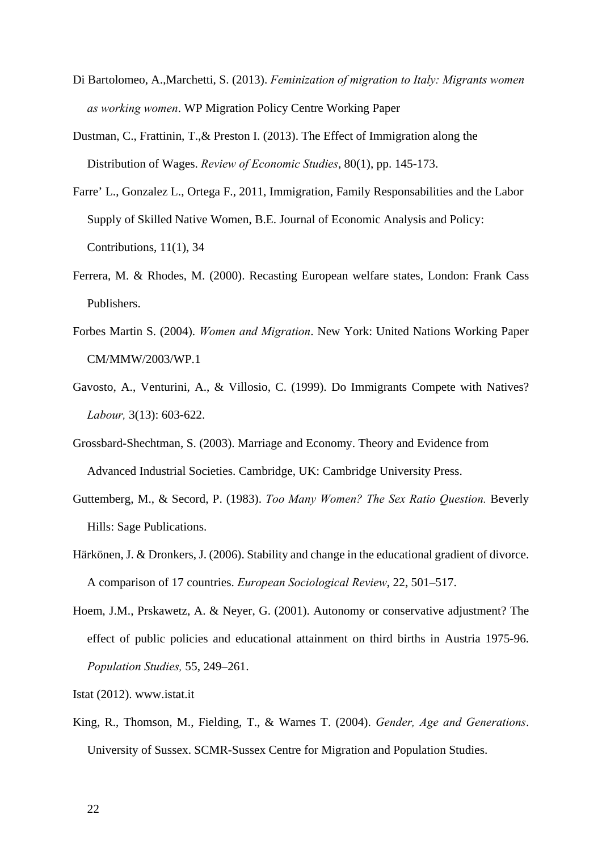- Di Bartolomeo, A.,Marchetti, S. (2013). *Feminization of migration to Italy: Migrants women as working women*. WP Migration Policy Centre Working Paper
- Dustman, C., Frattinin, T.,& Preston I. (2013). The Effect of Immigration along the Distribution of Wages. *Review of Economic Studies*, 80(1), pp. 145-173.
- Farre' L., Gonzalez L., Ortega F., 2011, Immigration, Family Responsabilities and the Labor Supply of Skilled Native Women, B.E. Journal of Economic Analysis and Policy: Contributions, 11(1), 34
- Ferrera, M. & Rhodes, M. (2000). Recasting European welfare states, London: Frank Cass Publishers.
- Forbes Martin S. (2004). *Women and Migration*. New York: United Nations Working Paper CM/MMW/2003/WP.1
- Gavosto, A., Venturini, A., & Villosio, C. (1999). Do Immigrants Compete with Natives? *Labour,* 3(13): 603-622.
- Grossbard-Shechtman, S. (2003). Marriage and Economy. Theory and Evidence from Advanced Industrial Societies. Cambridge, UK: Cambridge University Press.
- Guttemberg, M., & Secord, P. (1983). *Too Many Women? The Sex Ratio Question.* Beverly Hills: Sage Publications.
- Härkönen, J. & Dronkers, J. (2006). Stability and change in the educational gradient of divorce. A comparison of 17 countries. *European Sociological Review*, 22, 501–517.
- Hoem, J.M., Prskawetz, A. & Neyer, G. (2001). Autonomy or conservative adjustment? The effect of public policies and educational attainment on third births in Austria 1975-96. *Population Studies,* 55, 249–261.

Istat (2012). www.istat.it

King, R., Thomson, M., Fielding, T., & Warnes T. (2004). *Gender, Age and Generations*. University of Sussex. SCMR-Sussex Centre for Migration and Population Studies.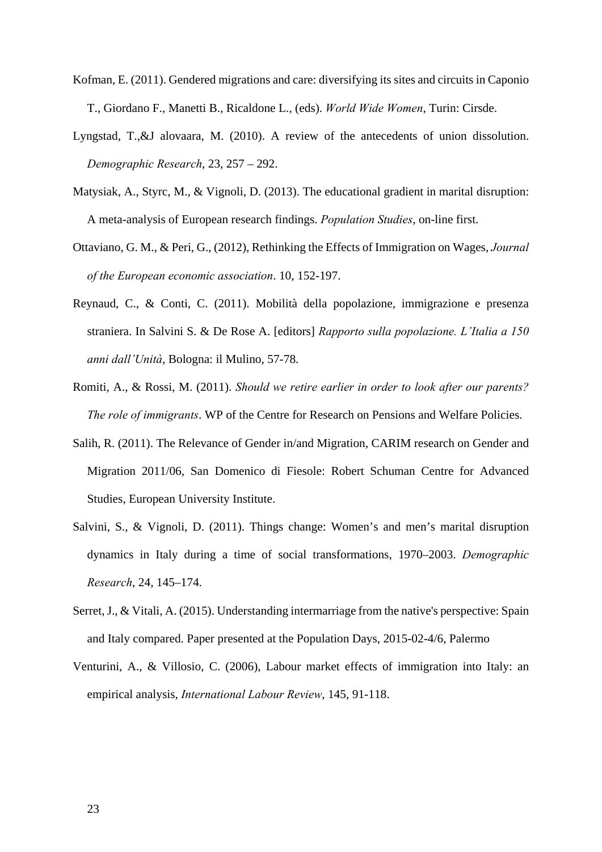- Kofman, E. (2011). Gendered migrations and care: diversifying its sites and circuits in Caponio T., Giordano F., Manetti B., Ricaldone L., (eds). *World Wide Women*, Turin: Cirsde.
- Lyngstad, T.,&J alovaara, M. (2010). A review of the antecedents of union dissolution. *Demographic Research*, 23, 257 – 292.
- Matysiak, A., Styrc, M., & Vignoli, D. (2013). The educational gradient in marital disruption: A meta-analysis of European research findings. *Population Studies*, on-line first.
- Ottaviano, G. M., & Peri, G., (2012), Rethinking the Effects of Immigration on Wages, *Journal of the European economic association*. 10, 152-197.
- Reynaud, C., & Conti, C. (2011). Mobilità della popolazione, immigrazione e presenza straniera. In Salvini S. & De Rose A. [editors] *Rapporto sulla popolazione. L'Italia a 150 anni dall'Unità*, Bologna: il Mulino, 57-78.
- Romiti, A., & Rossi, M. (2011). *Should we retire earlier in order to look after our parents? The role of immigrants*. WP of the Centre for Research on Pensions and Welfare Policies.
- Salih, R. (2011). The Relevance of Gender in/and Migration, CARIM research on Gender and Migration 2011/06, San Domenico di Fiesole: Robert Schuman Centre for Advanced Studies, European University Institute.
- Salvini, S., & Vignoli, D. (2011). Things change: Women's and men's marital disruption dynamics in Italy during a time of social transformations, 1970–2003. *Demographic Research*, 24, 145–174.
- Serret, J., & Vitali, A. (2015). Understanding intermarriage from the native's perspective: Spain and Italy compared. Paper presented at the Population Days, 2015-02-4/6, Palermo
- Venturini, A., & Villosio, C. (2006), Labour market effects of immigration into Italy: an empirical analysis, *International Labour Review*, 145, 91-118.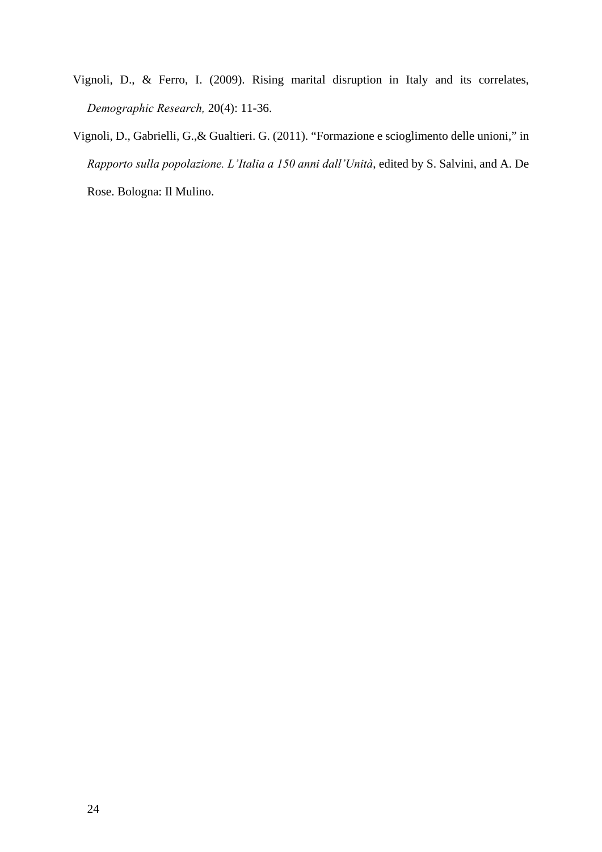- Vignoli, D., & Ferro, I. (2009). Rising marital disruption in Italy and its correlates, *Demographic Research,* 20(4): 11-36.
- Vignoli, D., Gabrielli, G.,& Gualtieri. G. (2011). "Formazione e scioglimento delle unioni," in *Rapporto sulla popolazione. L'Italia a 150 anni dall'Unità*, edited by S. Salvini, and A. De Rose. Bologna: Il Mulino.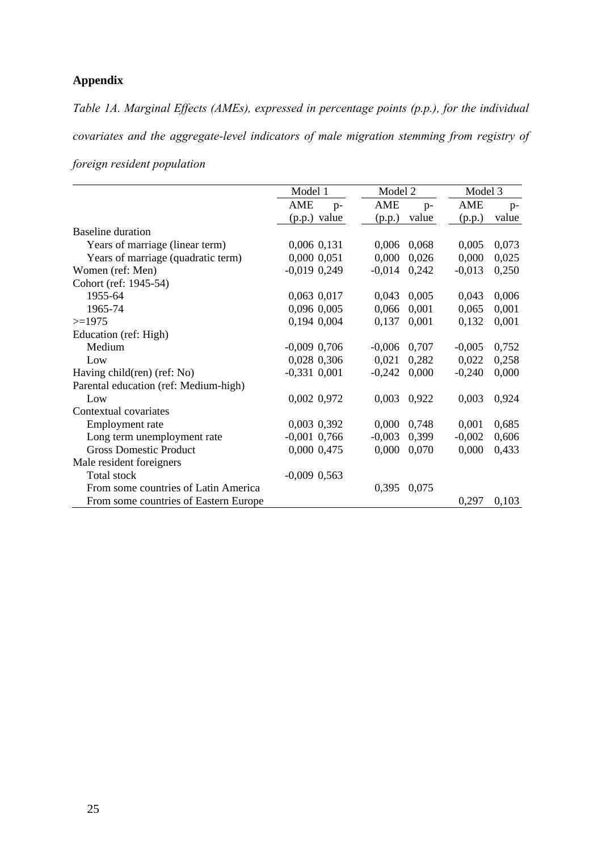### **Appendix**

*Table 1A. Marginal Effects (AMEs), expressed in percentage points (p.p.), for the individual covariates and the aggregate-level indicators of male migration stemming from registry of* 

| foreign resident population |
|-----------------------------|
|                             |

|                                       | Model 1          | Model 2           | Model 3  |       |
|---------------------------------------|------------------|-------------------|----------|-------|
|                                       | AME<br>$p-$      | AME<br>$p-$       | AME      | $p-$  |
|                                       | (p.p.) value     | value<br>(p.p.)   | (p.p.)   | value |
| <b>Baseline</b> duration              |                  |                   |          |       |
| Years of marriage (linear term)       | 0,006 0,131      | 0,006<br>0,068    | 0,005    | 0,073 |
| Years of marriage (quadratic term)    | 0,000 0,051      | 0,000<br>0,026    | 0,000    | 0,025 |
| Women (ref: Men)                      | $-0,019$ $0,249$ | $-0,014$ 0,242    | $-0,013$ | 0,250 |
| Cohort (ref: 1945-54)                 |                  |                   |          |       |
| 1955-64                               | 0,063 0,017      | 0,043<br>0,005    | 0,043    | 0,006 |
| 1965-74                               | 0,096 0,005      | 0,066<br>0,001    | 0,065    | 0,001 |
| $>=1975$                              | 0,194 0,004      | 0,137<br>0,001    | 0,132    | 0,001 |
| Education (ref: High)                 |                  |                   |          |       |
| Medium                                | $-0,009$ 0,706   | $-0,006$<br>0,707 | $-0,005$ | 0,752 |
| Low                                   | 0,028 0,306      | 0,021<br>0,282    | 0,022    | 0,258 |
| Having child(ren) (ref: No)           | $-0,331$ $0,001$ | $-0,242$<br>0,000 | $-0,240$ | 0,000 |
| Parental education (ref: Medium-high) |                  |                   |          |       |
| Low                                   | 0,002 0,972      | 0,003<br>0,922    | 0,003    | 0,924 |
| Contextual covariates                 |                  |                   |          |       |
| Employment rate                       | 0,003 0,392      | 0.000<br>0,748    | 0,001    | 0,685 |
| Long term unemployment rate           | $-0,001$ 0,766   | $-0,003$<br>0,399 | $-0,002$ | 0,606 |
| <b>Gross Domestic Product</b>         | 0,000 0,475      | 0,000<br>0,070    | 0,000    | 0,433 |
| Male resident foreigners              |                  |                   |          |       |
| Total stock                           | $-0,009$ $0,563$ |                   |          |       |
| From some countries of Latin America  |                  | 0,395<br>0,075    |          |       |
| From some countries of Eastern Europe |                  |                   | 0,297    | 0,103 |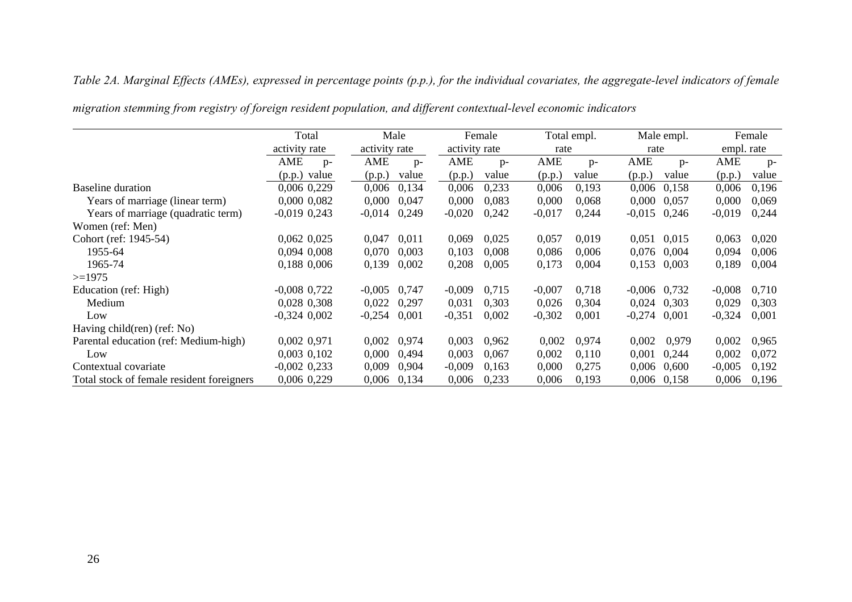### *Table 2A. Marginal Effects (AMEs), expressed in percentage points (p.p.), for the individual covariates, the aggregate-level indicators of female*

|                                           | Total           | Male<br>activity rate |       |          | Female<br>activity rate |          | Total empl.<br>rate |                | Male empl.<br>rate |          | Female     |
|-------------------------------------------|-----------------|-----------------------|-------|----------|-------------------------|----------|---------------------|----------------|--------------------|----------|------------|
|                                           | activity rate   |                       |       |          |                         |          |                     |                |                    |          | empl. rate |
|                                           | AME<br>$p-$     | AME                   | $p-$  | AME      | $p-$                    | AME      | $p-$                | AME            | $p-$               | AME      | $p-$       |
|                                           | value<br>(p.p.) | (p.p.)                | value | (p.p.)   | value                   | (p.p.)   | value               | (p.p.)         | value              | (p.p.)   | value      |
| Baseline duration                         | 0,006 0,229     | 0,006                 | 0,134 | 0,006    | 0,233                   | 0,006    | 0,193               | 0,006          | 0,158              | 0,006    | 0,196      |
| Years of marriage (linear term)           | 0,000 0,082     | 0,000                 | 0,047 | 0,000    | 0,083                   | 0,000    | 0,068               | 0,000          | 0,057              | 0,000    | 0,069      |
| Years of marriage (quadratic term)        | $-0,019,0,243$  | $-0,014$              | 0,249 | $-0,020$ | 0,242                   | $-0,017$ | 0,244               | $-0,015$       | 0,246              | $-0,019$ | 0,244      |
| Women (ref: Men)                          |                 |                       |       |          |                         |          |                     |                |                    |          |            |
| Cohort (ref: 1945-54)                     | $0,062$ $0,025$ | 0,047                 | 0,011 | 0,069    | 0,025                   | 0,057    | 0,019               | 0,051          | 0,015              | 0,063    | 0,020      |
| 1955-64                                   | 0,094 0,008     | 0,070                 | 0,003 | 0,103    | 0,008                   | 0,086    | 0,006               | 0,076          | 0,004              | 0,094    | 0,006      |
| 1965-74                                   | 0,188 0,006     | 0,139                 | 0,002 | 0,208    | 0,005                   | 0,173    | 0,004               | 0,153          | 0,003              | 0,189    | 0,004      |
| $>=1975$                                  |                 |                       |       |          |                         |          |                     |                |                    |          |            |
| Education (ref: High)                     | $-0,008$ 0,722  | $-0,005$              | 0,747 | $-0,009$ | 0.715                   | $-0,007$ | 0,718               | $-0,006$ 0,732 |                    | $-0,008$ | 0,710      |
| Medium                                    | 0,028 0,308     | 0,022                 | 0,297 | 0,031    | 0,303                   | 0,026    | 0.304               | 0,024          | 0.303              | 0,029    | 0,303      |
| Low                                       | $-0,324,0,002$  | $-0,254$              | 0,001 | $-0,351$ | 0,002                   | $-0,302$ | 0,001               | $-0,274$       | 0,001              | $-0,324$ | 0,001      |
| Having child(ren) (ref: No)               |                 |                       |       |          |                         |          |                     |                |                    |          |            |
| Parental education (ref: Medium-high)     | 0,002 0,971     | 0,002                 | 0.974 | 0,003    | 0,962                   | 0,002    | 0,974               | 0,002          | 0,979              | 0,002    | 0,965      |
| Low                                       | 0,003 0,102     | 0,000                 | 0,494 | 0,003    | 0,067                   | 0,002    | 0,110               | 0,001          | 0,244              | 0,002    | 0,072      |
| Contextual covariate                      | $-0,002$ 0,233  | 0,009                 | 0.904 | $-0,009$ | 0,163                   | 0,000    | 0,275               | 0,006          | 0.600              | $-0,005$ | 0,192      |
| Total stock of female resident foreigners | 0,006 0,229     | 0,006                 | 0,134 | 0,006    | 0,233                   | 0,006    | 0,193               | 0,006          | 0,158              | 0,006    | 0,196      |

*migration stemming from registry of foreign resident population, and different contextual-level economic indicators*